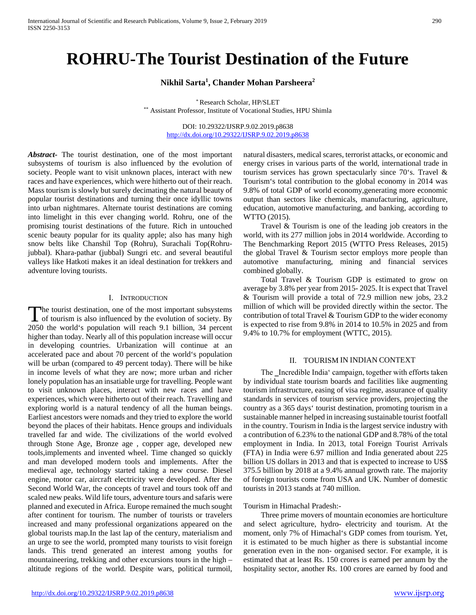# **ROHRU-The Tourist Destination of the Future**

## **Nikhil Sarta1 , Chander Mohan Parsheera2**

\* Research Scholar, HP/SLET \*\* Assistant Professor, Institute of Vocational Studies, HPU Shimla

> DOI: 10.29322/IJSRP.9.02.2019.p8638 <http://dx.doi.org/10.29322/IJSRP.9.02.2019.p8638>

*Abstract***-** The tourist destination, one of the most important subsystems of tourism is also influenced by the evolution of society. People want to visit unknown places, interact with new races and have experiences, which were hitherto out of their reach. Mass tourism is slowly but surely decimating the natural beauty of popular tourist destinations and turning their once idyllic towns into urban nightmares. Alternate tourist destinations are coming into limelight in this ever changing world. Rohru, one of the promising tourist destinations of the future. Rich in untouched scenic beauty popular for its quality apple; also has many high snow belts like Chanshil Top (Rohru), Surachali Top(Rohrujubbal). Khara-pathar (jubbal) Sungri etc. and several beautiful valleys like Hatkoti makes it an ideal destination for trekkers and adventure loving tourists.

#### I. INTRODUCTION

he tourist destination, one of the most important subsystems The tourist destination, one of the most important subsystems<br>of tourism is also influenced by the evolution of society. By<br> $20.50 \text{ d}$ 2050 the world's population will reach 9.1 billion, 34 percent higher than today. Nearly all of this population increase will occur in developing countries. Urbanization will continue at an accelerated pace and about 70 percent of the world's population will be urban (compared to 49 percent today). There will be hike in income levels of what they are now; more urban and richer lonely population has an insatiable urge for travelling. People want to visit unknown places, interact with new races and have experiences, which were hitherto out of their reach. Travelling and exploring world is a natural tendency of all the human beings. Earliest ancestors were nomads and they tried to explore the world beyond the places of their habitats. Hence groups and individuals travelled far and wide. The civilizations of the world evolved through Stone Age, Bronze age , copper age, developed new tools,implements and invented wheel. Time changed so quickly and man developed modern tools and implements. After the medieval age, technology started taking a new course. Diesel engine, motor car, aircraft electricity were developed. After the Second World War, the concepts of travel and tours took off and scaled new peaks. Wild life tours, adventure tours and safaris were planned and executed in Africa. Europe remained the much sought after continent for tourism. The number of tourists or travelers increased and many professional organizations appeared on the global tourists map.In the last lap of the century, materialism and an urge to see the world, prompted many tourists to visit foreign lands. This trend generated an interest among youths for mountaineering, trekking and other excursions tours in the high – altitude regions of the world. Despite wars, political turmoil,

natural disasters, medical scares, terrorist attacks, or economic and energy crises in various parts of the world, international trade in tourism services has grown spectacularly since 70's. Travel & Tourism's total contribution to the global economy in 2014 was 9.8% of total GDP of world economy,generating more economic output than sectors like chemicals, manufacturing, agriculture, education, automotive manufacturing, and banking, according to WTTO (2015).

 Travel & Tourism is one of the leading job creators in the world, with its 277 million jobs in 2014 worldwide. According to The Benchmarking Report 2015 (WTTO Press Releases, 2015) the global Travel & Tourism sector employs more people than automotive manufacturing, mining and financial services combined globally.

 Total Travel & Tourism GDP is estimated to grow on average by 3.8% per year from 2015- 2025. It is expect that Travel & Tourism will provide a total of 72.9 million new jobs, 23.2 million of which will be provided directly within the sector. The contribution of total Travel & Tourism GDP to the wider economy is expected to rise from 9.8% in 2014 to 10.5% in 2025 and from 9.4% to 10.7% for employment (WTTC, 2015).

## II. TOURISM IN INDIAN CONTEXT

The Incredible India' campaign, together with efforts taken by individual state tourism boards and facilities like augmenting tourism infrastructure, easing of visa regime, assurance of quality standards in services of tourism service providers, projecting the country as a 365 days' tourist destination, promoting tourism in a sustainable manner helped in increasing sustainable tourist footfall in the country. Tourism in India is the largest service industry with a contribution of 6.23% to the national GDP and 8.78% of the total employment in India. In 2013, total Foreign Tourist Arrivals (FTA) in India were 6.97 million and India generated about 225 billion US dollars in 2013 and that is expected to increase to US\$ 375.5 billion by 2018 at a 9.4% annual growth rate. The majority of foreign tourists come from USA and UK. Number of domestic tourists in 2013 stands at 740 million.

## Tourism in Himachal Pradesh:-

 Three prime movers of mountain economies are horticulture and select agriculture, hydro- electricity and tourism. At the moment, only 7% of Himachal's GDP comes from tourism. Yet, it is estimated to be much higher as there is substantial income generation even in the non- organised sector. For example, it is estimated that at least Rs. 150 crores is earned per annum by the hospitality sector, another Rs. 100 crores are earned by food and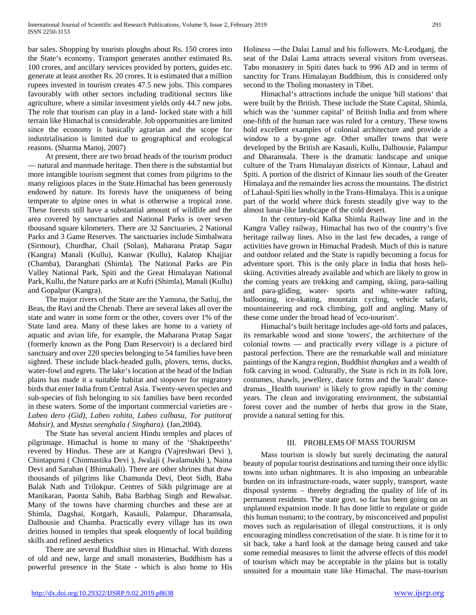bar sales. Shopping by tourists ploughs about Rs. 150 crores into the State's economy. Transport generates another estimated Rs. 100 crores, and ancillary services provided by porters, guides etc. generate at least another Rs. 20 crores. It is estimated that a million rupees invested in tourism creates 47.5 new jobs. This compares favourably with other sectors including traditional sectors like agriculture, where a similar investment yields only 44.7 new jobs. The role that tourism can play in a land- locked state with a hill terrain like Himachal is considerable. Job opportunities are limited since the economy is basically agrarian and the scope for industrialisation is limited due to geographical and ecological reasons. (Sharma Manoj, 2007)

 At present, there are two broad heads of the tourism product — natural and manmade heritage. Then there is the substantial but more intangible tourism segment that comes from pilgrims to the many religious places in the State.Himachal has been generously endowed by nature. Its forests have the uniqueness of being temperate to alpine ones in what is otherwise a tropical zone. These forests still have a substantial amount of wildlife and the area covered by sanctuaries and National Parks is over seven thousand square kilometers. There are 32 Sanctuaries, 2 National Parks and 3 Game Reserves. The sanctuaries include Simbalwara (Sirmour), Churdhar, Chail (Solan), Maharana Pratap Sagar (Kangra) Manali (Kullu), Kanwar (Kullu), Kalatop Khajjiar (Chamba), Daranghati (Shimla). The National Parks are Pin Valley National Park, Spiti and the Great Himalayan National Park, Kullu, the Nature parks are at Kufri (Shimla), Manali (Kullu) and Gopalpur (Kangra).

 The major rivers of the State are the Yamuna, the Satluj, the Beas, the Ravi and the Chenab. There are several lakes all over the state and water in some form or the other, covers over 1% of the State land area. Many of these lakes are home to a variety of aquatic and avian life, for example, the Maharana Pratap Sagar (formerly known as the Pong Dam Reservoir) is a declared bird sanctuary and over 220 species belonging to 54 families have been sighted. These include black-headed gulls, plovers, terns, ducks, water-fowl and egrets. The lake's location at the head of the Indian plains has made it a suitable habitat and stopover for migratory birds that enter India from Central Asia. Twenty-seven species and sub-species of fish belonging to six families have been recorded in these waters. Some of the important commercial varieties are - *Labeo dero (Gid), Labeo rohita, Labeo calbasu, Tor putitora( Mahsir),* and *Mystus seenghala ( Singhara).* (Jan,2004).

 The State has several ancient Hindu temples and places of pilgrimage. Himachal is home to many of the 'Shaktipeeths' revered by Hindus. These are at Kangra (Vajreshwari Devi ), Chintapurni ( Chinmastika Devi ), Jwalaji ( Jwalamukhi ), Naina Devi and Sarahan ( Bhimakali). There are other shrines that draw thousands of pilgrims like Chamunda Devi, Deot Sidh, Baba Balak Nath and Trilokpur. Centres of Sikh pilgrimage are at Manikaran, Paonta Sahib, Baba Barbhag Singh and Rewalsar. Many of the towns have charming churches and these are at Shimla, Dagshai, Kotgarh, Kasauli, Palampur, Dharamsala, Dalhousie and Chamba. Practically every village has its own deities housed in temples that speak eloquently of local building skills and refined aesthetics

 There are several Buddhist sites in Himachal. With dozens of old and new, large and small monasteries, Buddhism has a powerful presence in the State - which is also home to His

Holiness ―the Dalai Lama‖ and his followers. Mc-Leodganj, the seat of the Dalai Lama attracts several visitors from overseas. Tabo monastery in Spiti dates back to 996 AD and in terms of sanctity for Trans Himalayan Buddhism, this is considered only second to the Tholing monastery in Tibet.

 Himachal's attractions include the unique 'hill stations' that were built by the British. These include the State Capital, Shimla, which was the 'summer capital' of British India and from where one-fifth of the human race was ruled for a century. These towns hold excellent examples of colonial architecture and provide a window to a by-gone age. Other smaller towns that were developed by the British are Kasauli, Kullu, Dalhousie, Palampur and Dharamsala. There is the dramatic landscape and unique culture of the Trans Himalayan districts of Kinnaur, Lahaul and Spiti. A portion of the district of Kinnaur lies south of the Greater Himalaya and the remainder lies across the mountains. The district of Lahaul-Spiti lies wholly in the Trans-Himalaya. This is a unique part of the world where thick forests steadily give way to the almost lunar-like landscape of the cold desert.

 In the century-old Kalka Shimla Railway line and in the Kangra Valley railway, Himachal has two of the country's five heritage railway lines. Also in the last few decades, a range of activities have grown in Himachal Pradesh. Much of this is nature and outdoor related and the State is rapidly becoming a focus for adventure sport. This is the only place in India that hosts heliskiing. Activities already available and which are likely to grow in the coming years are trekking and camping, skiing, para-sailing and para-gliding, water- sports and white-water rafting, ballooning, ice-skating, mountain cycling, vehicle safaris, mountaineering and rock climbing, golf and angling. Many of these come under the broad head of 'eco-tourism'.

 Himachal's built heritage includes age-old forts and palaces, its remarkable wood and stone 'towers', the architecture of the colonial towns — and practically every village is a picture of pastoral perfection. There are the remarkable wall and miniature paintings of the Kangra region, Buddhist *thangkas* and a wealth of folk carving in wood. Culturally, the State is rich in its folk lore, costumes, shawls, jewellery, dance forms and the 'karali' dancedramas. Health tourism' is likely to grow rapidly in the coming years. The clean and invigorating environment, the substantial forest cover and the number of herbs that grow in the State, provide a natural setting for this.

## III. PROBLEMS OF MASS TOURISM

 Mass tourism is slowly but surely decimating the natural beauty of popular tourist destinations and turning their once idyllic towns into urban nightmares. It is also imposing an unbearable burden on its infrastructure-roads, water supply, transport, waste disposal systems – thereby degrading the quality of life of its permanent residents. The state govt. so far has been going on an unplanned expansion mode. It has done little to regulate or guide this human tsunami; to the contrary, by misconceived and populist moves such as regularisation of illegal constructions, it is only encouraging mindless concretisation of the state. It is time for it to sit back, take a hard look at the damage being caused and take some remedial measures to limit the adverse effects of this model of tourism which may be acceptable in the plains but is totally unsuited for a mountain state like Himachal. The mass-tourism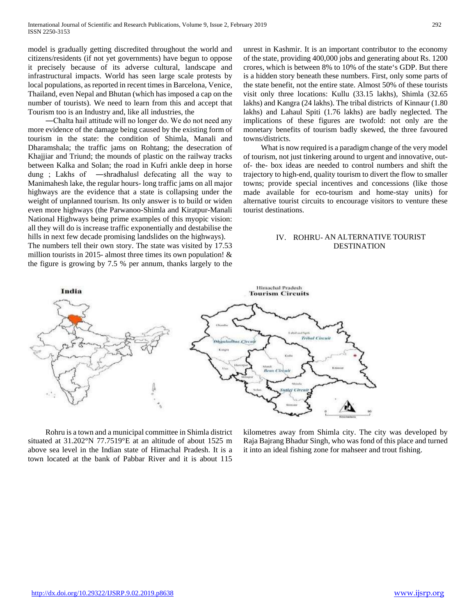model is gradually getting discredited throughout the world and citizens/residents (if not yet governments) have begun to oppose it precisely because of its adverse cultural, landscape and infrastructural impacts. World has seen large scale protests by local populations, as reported in recent times in Barcelona, Venice, Thailand, even Nepal and Bhutan (which has imposed a cap on the number of tourists). We need to learn from this and accept that Tourism too is an Industry and, like all industries, the

 ―Chalta hai‖ attitude will no longer do. We do not need any more evidence of the damage being caused by the existing form of tourism in the state: the condition of Shimla, Manali and Dharamshala; the traffic jams on Rohtang; the desecration of Khajjiar and Triund; the mounds of plastic on the railway tracks between Kalka and Solan; the road in Kufri ankle deep in horse dung ; Lakhs of ―shradhalus‖ defecating all the way to Manimahesh lake, the regular hours- long traffic jams on all major highways are the evidence that a state is collapsing under the weight of unplanned tourism. Its only answer is to build or widen even more highways (the Parwanoo-Shimla and Kiratpur-Manali National Highways being prime examples of this myopic vision: all they will do is increase traffic exponentially and destabilise the hills in next few decade promising landslides on the highways).

The numbers tell their own story. The state was visited by 17.53 million tourists in 2015- almost three times its own population!  $&$ the figure is growing by 7.5 % per annum, thanks largely to the unrest in Kashmir. It is an important contributor to the economy of the state, providing 400,000 jobs and generating about Rs. 1200 crores, which is between 8% to 10% of the state's GDP. But there is a hidden story beneath these numbers. First, only some parts of the state benefit, not the entire state. Almost 50% of these tourists visit only three locations: Kullu (33.15 lakhs), Shimla (32.65 lakhs) and Kangra (24 lakhs). The tribal districts of Kinnaur (1.80 lakhs) and Lahaul Spiti (1.76 lakhs) are badly neglected. The implications of these figures are twofold: not only are the monetary benefits of tourism badly skewed, the three favoured towns/districts.

 What is now required is a paradigm change of the very model of tourism, not just tinkering around to urgent and innovative, outof- the- box ideas are needed to control numbers and shift the trajectory to high-end, quality tourism to divert the flow to smaller towns; provide special incentives and concessions (like those made available for eco-tourism and home-stay units) for alternative tourist circuits to encourage visitors to venture these tourist destinations.

## IV. ROHRU- AN ALTERNATIVE TOURIST DESTINATION



 Rohru is a town and a municipal committee in Shimla district situated at 31.202°N 77.7519°E at an altitude of about 1525 m above sea level in the Indian state of Himachal Pradesh. It is a town located at the bank of Pabbar River and it is about 115

kilometres away from Shimla city. The city was developed by Raja Bajrang Bhadur Singh, who was fond of this place and turned it into an ideal fishing zone for mahseer and trout fishing.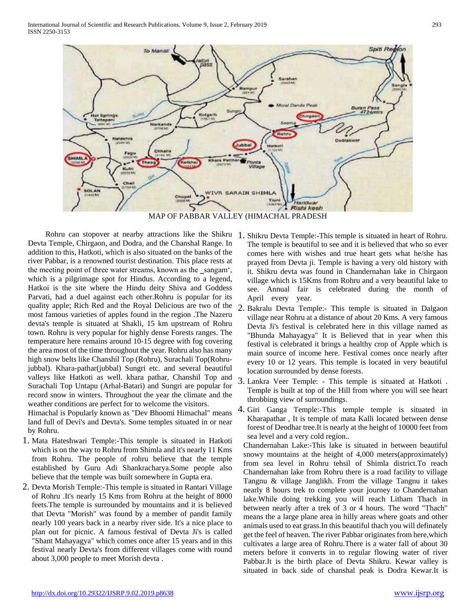

Rohru can stopover at nearby attractions like the Shikru 1. Shikru Devta Temple:-This temple is situated in heart of Rohru. Devta Temple, Chirgaon, and Dodra, and the Chanshal Range. In addition to this, Hatkoti, which is also situated on the banks of the river Pabbar, is a renowned tourist destination. This place rests at the meeting point of three water streams, known as the sangam', which is a pilgrimage spot for Hindus. According to a legend, Hatkoi is the site where the Hindu deity Shiva and Goddess Parvati, had a duel against each other.Rohru is popular for its quality apple; Rich Red and the Royal Delicious are two of the 2. Bakralu Devta Temple:- This temple is situated in Dalgaon most famous varieties of apples found in the region .The Nazeru devta's temple is situated at Shakli, 15 km upstream of Rohru town. Rohru is very popular for highly dense Forests ranges. The temperature here remains around 10-15 degree with fog covering the area most of the time throughout the year. Rohru also has many high snow belts like Chanshil Top (Rohru), Surachali Top(Rohrujubbal). Khara-pathar(jubbal) Sungri etc. and several beautiful valleys like Hatkoti as well. khara pathar, Chanshil Top and Surachali Top Untapu (Arhal-Batari) and Sungri are popular for record snow in winters. Throughout the year the climate and the weather conditions are perfect for to welcome the visitors.

Himachal is Popularly known as "Dev Bhoomi Himachal" means land full of Devi's and Devta's. Some temples situated in or near by Rohru.

- 1. Mata Hateshwari Temple:-This temple is situated in Hatkoti which is on the way to Rohru from Shimla and it's nearly 11 Kms from Rohru. The people of rohru believe that the temple established by Guru Adi Shankracharya.Some people also believe that the temple was built somewhere in Gupta era.
- 2. Devta Morish Temple:-This temple is situated in Rantari Village of Rohru .It's nearly 15 Kms from Rohru at the height of 8000 feets.The temple is surrounded by mountains and it is believed that Devta "Morish" was found by a member of pandit family nearly 100 years back in a nearby river side. It's a nice place to plan out for picnic. A famous festival of Devta Ji's is called "Shant Mahayagya" which comes once after 15 years and in this festival nearly Devta's from different villages come with round about 3,000 people to meet Morish devta .
- The temple is beautiful to see and it is believed that who so ever comes here with wishes and true heart gets what he/she has prayed from Devta ji. Temple is having a very old history with it. Shikru devta was found in Chandernahan lake in Chirgaon village which is 15Kms from Rohru and a very beautiful lake to see. Annual fair is celebrated during the month of April every year.
- village near Rohru at a distance of about 20 Kms. A very famous Devta Ji's festival is celebrated here in this village named as "Bhunda Mahayagya" It is Believed that in year when this festival is celebrated it brings a healthy crop of Apple which is main source of income here. Festival comes once nearly after every 10 or 12 years. This temple is located in very beautiful location surrounded by dense forests.
- 3. Lankra Veer Temple: This temple is situated at Hatkoti . Temple is built at top of the Hill from where you will see heart throbbing view of surroundings.
- 4. Giri Ganga Temple:-This temple temple is situated in Kharapathar , It is temple of mata Kalli located between dense forest of Deodhar tree.It is nearly at the height of 10000 feet from sea level and a very cold region..

Chandernahan Lake:-This lake is situated in between beautiful snowy mountains at the height of 4,000 meters(approximately) from sea level in Rohru tehsil of Shimla district.To reach Chandernahan lake from Rohru there is a road facility to village Tangnu & village Janglikh. From the village Tangnu it takes nearly 8 hours trek to complete your journey to Chandernahan lake.While doing trekking you will reach Litham Thach in between nearly after a trek of 3 or 4 hours. The word "Thach" means the a large plane area in hilly areas where goats and other animals used to eat grass.In this beautiful thach you will definately get the feel of heaven. The river Pabbar originates from here,which cultivates a large area of Rohru.There is a water fall of about 30 meters before it converts in to regular flowing water of river Pabbar.It is the birth place of Devta Shikru. Kewar valley is situated in back side of chanshal peak is Dodra Kewar.It is